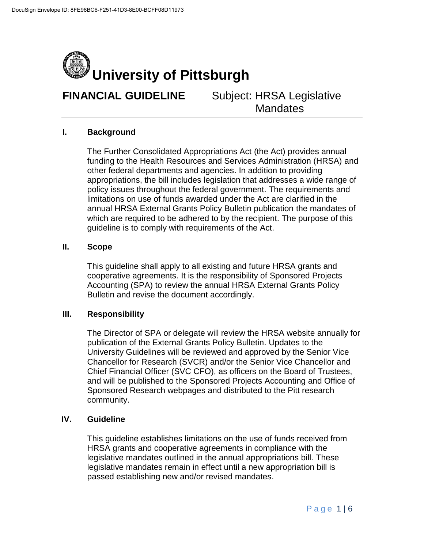

### **I. Background**

The Further Consolidated Appropriations Act (the Act) provides annual funding to the Health Resources and Services Administration (HRSA) and other federal departments and agencies. In addition to providing appropriations, the bill includes legislation that addresses a wide range of policy issues throughout the federal government. The requirements and limitations on use of funds awarded under the Act are clarified in the annual HRSA External Grants Policy Bulletin publication the mandates of which are required to be adhered to by the recipient. The purpose of this guideline is to comply with requirements of the Act.

#### **II. Scope**

This guideline shall apply to all existing and future HRSA grants and cooperative agreements. It is the responsibility of Sponsored Projects Accounting (SPA) to review the annual HRSA External Grants Policy Bulletin and revise the document accordingly.

#### **III. Responsibility**

The Director of SPA or delegate will review the HRSA website annually for publication of the External Grants Policy Bulletin. Updates to the University Guidelines will be reviewed and approved by the Senior Vice Chancellor for Research (SVCR) and/or the Senior Vice Chancellor and Chief Financial Officer (SVC CFO), as officers on the Board of Trustees, and will be published to the Sponsored Projects Accounting and Office of Sponsored Research webpages and distributed to the Pitt research community.

## **IV. Guideline**

This guideline establishes limitations on the use of funds received from HRSA grants and cooperative agreements in compliance with the legislative mandates outlined in the annual appropriations bill. These legislative mandates remain in effect until a new appropriation bill is passed establishing new and/or revised mandates.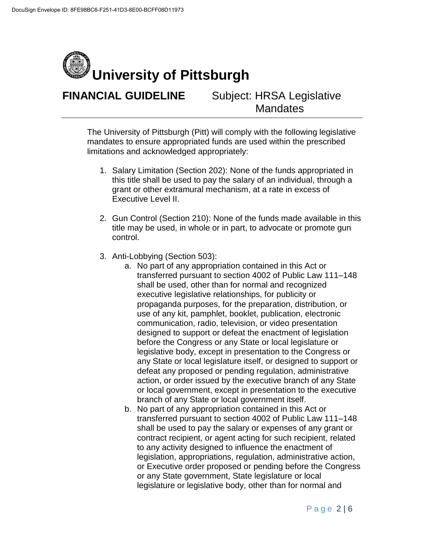

The University of Pittsburgh (Pitt) will comply with the following legislative mandates to ensure appropriated funds are used within the prescribed limitations and acknowledged appropriately:

- 1. Salary Limitation (Section 202): None of the funds appropriated in this title shall be used to pay the salary of an individual, through a grant or other extramural mechanism, at a rate in excess of Executive Level II.
- 2. Gun Control (Section 210): None of the funds made available in this title may be used, in whole or in part, to advocate or promote gun control.
- 3. Anti-Lobbying (Section 503):
	- a. No part of any appropriation contained in this Act or transferred pursuant to section 4002 of Public Law 111–148 shall be used, other than for normal and recognized executive legislative relationships, for publicity or propaganda purposes, for the preparation, distribution, or use of any kit, pamphlet, booklet, publication, electronic communication, radio, television, or video presentation designed to support or defeat the enactment of legislation before the Congress or any State or local legislature or legislative body, except in presentation to the Congress or any State or local legislature itself, or designed to support or defeat any proposed or pending regulation, administrative action, or order issued by the executive branch of any State or local government, except in presentation to the executive branch of any State or local government itself.
	- b. No part of any appropriation contained in this Act or transferred pursuant to section 4002 of Public Law 111–148 shall be used to pay the salary or expenses of any grant or contract recipient, or agent acting for such recipient, related to any activity designed to influence the enactment of legislation, appropriations, regulation, administrative action, or Executive order proposed or pending before the Congress or any State government, State legislature or local legislature or legislative body, other than for normal and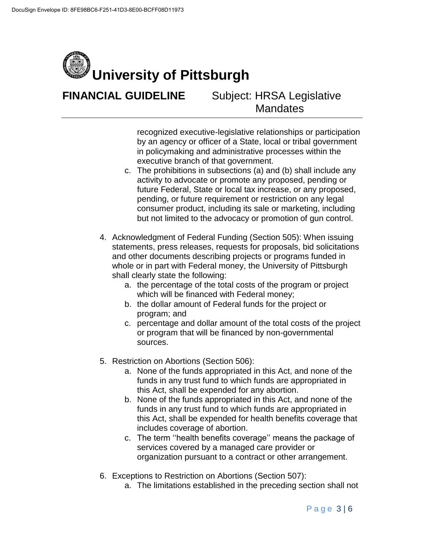

> recognized executive-legislative relationships or participation by an agency or officer of a State, local or tribal government in policymaking and administrative processes within the executive branch of that government.

- c. The prohibitions in subsections (a) and (b) shall include any activity to advocate or promote any proposed, pending or future Federal, State or local tax increase, or any proposed, pending, or future requirement or restriction on any legal consumer product, including its sale or marketing, including but not limited to the advocacy or promotion of gun control.
- 4. Acknowledgment of Federal Funding (Section 505): When issuing statements, press releases, requests for proposals, bid solicitations and other documents describing projects or programs funded in whole or in part with Federal money, the University of Pittsburgh shall clearly state the following:
	- a. the percentage of the total costs of the program or project which will be financed with Federal money;
	- b. the dollar amount of Federal funds for the project or program; and
	- c. percentage and dollar amount of the total costs of the project or program that will be financed by non-governmental sources.
- 5. Restriction on Abortions (Section 506):
	- a. None of the funds appropriated in this Act, and none of the funds in any trust fund to which funds are appropriated in this Act, shall be expended for any abortion.
	- b. None of the funds appropriated in this Act, and none of the funds in any trust fund to which funds are appropriated in this Act, shall be expended for health benefits coverage that includes coverage of abortion.
	- c. The term ''health benefits coverage'' means the package of services covered by a managed care provider or organization pursuant to a contract or other arrangement.
- 6. Exceptions to Restriction on Abortions (Section 507):
	- a. The limitations established in the preceding section shall not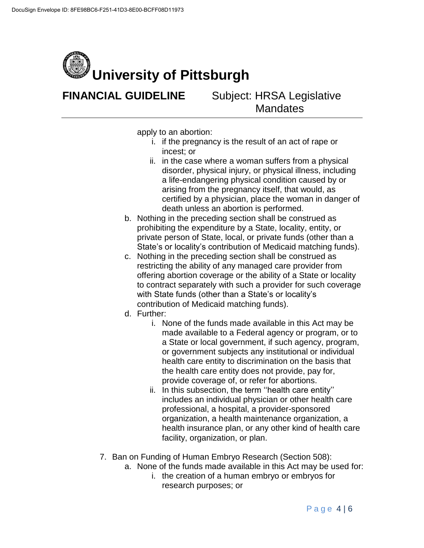

apply to an abortion:

- i. if the pregnancy is the result of an act of rape or incest; or
- ii. in the case where a woman suffers from a physical disorder, physical injury, or physical illness, including a life-endangering physical condition caused by or arising from the pregnancy itself, that would, as certified by a physician, place the woman in danger of death unless an abortion is performed.
- b. Nothing in the preceding section shall be construed as prohibiting the expenditure by a State, locality, entity, or private person of State, local, or private funds (other than a State's or locality's contribution of Medicaid matching funds).
- c. Nothing in the preceding section shall be construed as restricting the ability of any managed care provider from offering abortion coverage or the ability of a State or locality to contract separately with such a provider for such coverage with State funds (other than a State's or locality's contribution of Medicaid matching funds).
- d. Further:
	- i. None of the funds made available in this Act may be made available to a Federal agency or program, or to a State or local government, if such agency, program, or government subjects any institutional or individual health care entity to discrimination on the basis that the health care entity does not provide, pay for, provide coverage of, or refer for abortions.
	- ii. In this subsection, the term ''health care entity'' includes an individual physician or other health care professional, a hospital, a provider-sponsored organization, a health maintenance organization, a health insurance plan, or any other kind of health care facility, organization, or plan.
- 7. Ban on Funding of Human Embryo Research (Section 508):
	- a. None of the funds made available in this Act may be used for:
		- i. the creation of a human embryo or embryos for research purposes; or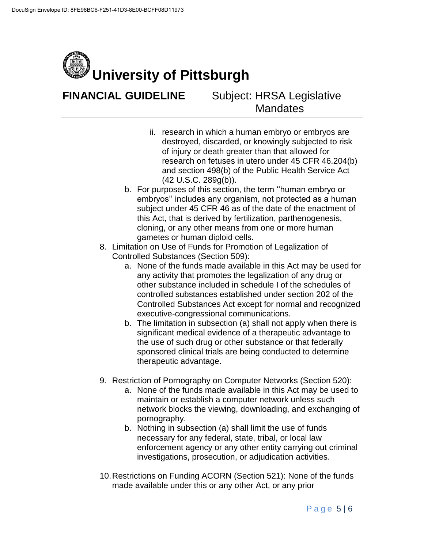

- ii. research in which a human embryo or embryos are destroyed, discarded, or knowingly subjected to risk of injury or death greater than that allowed for research on fetuses in utero under 45 CFR 46.204(b) and section 498(b) of the Public Health Service Act (42 U.S.C. 289g(b)).
- b. For purposes of this section, the term ''human embryo or embryos'' includes any organism, not protected as a human subject under 45 CFR 46 as of the date of the enactment of this Act, that is derived by fertilization, parthenogenesis, cloning, or any other means from one or more human gametes or human diploid cells.
- 8. Limitation on Use of Funds for Promotion of Legalization of Controlled Substances (Section 509):
	- a. None of the funds made available in this Act may be used for any activity that promotes the legalization of any drug or other substance included in schedule I of the schedules of controlled substances established under section 202 of the Controlled Substances Act except for normal and recognized executive-congressional communications.
	- b. The limitation in subsection (a) shall not apply when there is significant medical evidence of a therapeutic advantage to the use of such drug or other substance or that federally sponsored clinical trials are being conducted to determine therapeutic advantage.
- 9. Restriction of Pornography on Computer Networks (Section 520):
	- a. None of the funds made available in this Act may be used to maintain or establish a computer network unless such network blocks the viewing, downloading, and exchanging of pornography.
	- b. Nothing in subsection (a) shall limit the use of funds necessary for any federal, state, tribal, or local law enforcement agency or any other entity carrying out criminal investigations, prosecution, or adjudication activities.
- 10.Restrictions on Funding ACORN (Section 521): None of the funds made available under this or any other Act, or any prior